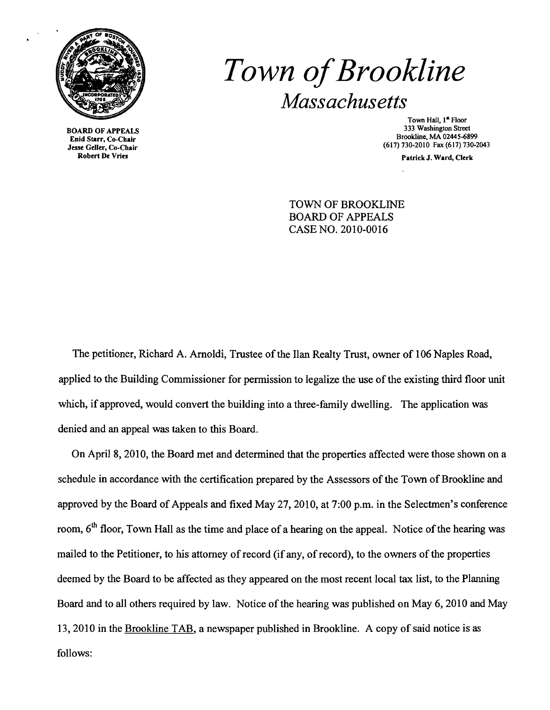

Enid Starr, Co-Chair<br>Jesse Geller, Co-Chair nu Statt, Co-Chair<br>se Geller, Co-Chair<br>Robert De Vries

# *Town ofBrookline Massachusetts*

Town Hall, 1<sup>st</sup> Floor<br>333 Washington Street 333 Washington Street 333 Washington Street 333 Washington Street<br>
Frid Starr, Co Chair

Patrick J. Ward, Clerk

TOWN OF BROOKLINE BOARD OF APPEALS CASE NO. 2010-0016

The petitioner, Richard A. Arnoldi, Trustee of the Ilan Realty Trust, owner of 106 Naples Road, applied to the Building Commissioner for permission to legalize the use of the existing third floor unit which, if approved, would convert the building into a three-family dwelling. The application was denied and an appeal was taken to this Board.

On April 8, 2010, the Board met and detennined that the properties affected were those shown on a schedule in accordance with the certification prepared by the Assessors of the Town of Brookline and approved by the Board of Appeals and fixed May 27,2010, at 7:00 p.m. in the Selectmen's conference room, 6<sup>th</sup> floor, Town Hall as the time and place of a hearing on the appeal. Notice of the hearing was mailed to the Petitioner, to his attorney of record (if any, ofrecord), to the owners of the properties deemed by the Board to be affected as they appeared on the most recent local tax list, to the Planning Board and to all others required by law. Notice of the hearing was published on May 6, 2010 and May 13, 2010 in the Brookline TAB, a newspaper published in Brookline. A copy of said notice is as follows: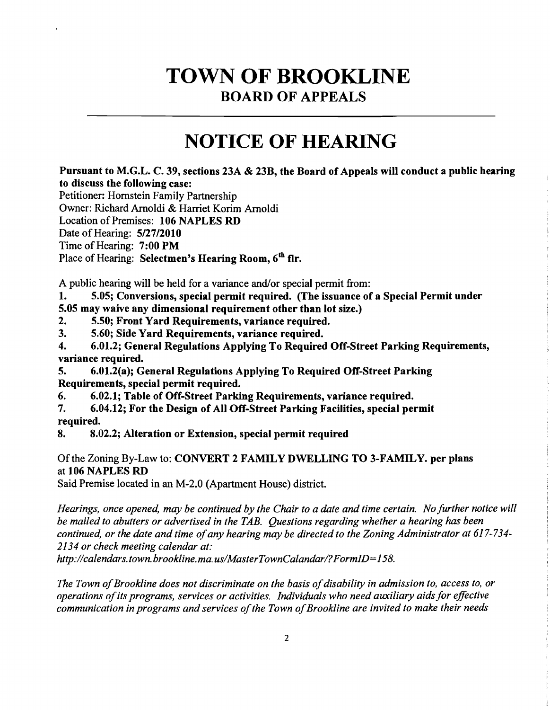### TOWN **OF BROOKLINE** BOARD OF APPEALS

## **NOTICE OF** HEARING

Pursuant to M.G.L. C. 39, sections 23A & 23B, the Board of Appeals will conduct a public hearing to discuss the following case:

Petitioner: Hornstein Family Partnership

Owner: Richard Arnoldi & Harriet Korim Arnoldi

Location of Premises: 106 NAPLES RD

Date of Hearing: 5/27/2010

Time of Hearing: 7:00 PM

Place of Hearing: Selectmen's Hearing Room, 6<sup>th</sup> flr.

A public hearing will be held for a variance and/or special permit from:

1. 5.05; Conversions, special permit required. (The issuance of a Special Permit under

- 5.05 may waive any dimensional requirement other than lot size.)
- 2. 5.50; Front Yard Requirements, variance required.<br>3. 5.60: Side Yard Requirements, variance required.
- 3. 5.60; Side Yard Requirements, variance required.

4. 6.01.2; General Regulations Applying To Required Off-Street Parking Requirements, variance required.

5. 6.01.2(a); General Regulations Applying To Required Off-Street Parking Requirements, special permit required.

6. 6.02.1; Table of Off-Street Parking Requirements, variance required.

7. 6.04.12; For the Design of All Off-Street Parking Facilities, special permit required.

8. 8.02.2; Alteration or Extension, special permit required

Of the Zoning By-Law to: CONVERT 2 FAMILY DWELLING TO 3-FAMILY. per plans at 106 NAPLES RD

Said Premise located in an M-2.0 (Apartment House) district.

*Hearings, once opened, may be continued by the Chair to a date and time certain. No further notice will be mailed to abutters or advertised in the TAB. Questions regarding whether a hearing has been*  continued, or the date and time of any hearing may be directed to the Zoning Administrator at 617-734-*2134 or check meeting calendar at:* 

*http://calendars.town.brookline.ma.usIMasterTownCalandarl?FormID=158.* 

The Town of Brookline does not discriminate on the basis of disability in admission to, access to, or *operations ofits programs, services or activities. Individuals who need auxiliary aidsfor effective communication in programs and services ofthe Town ofBrookline are invited to make their needs*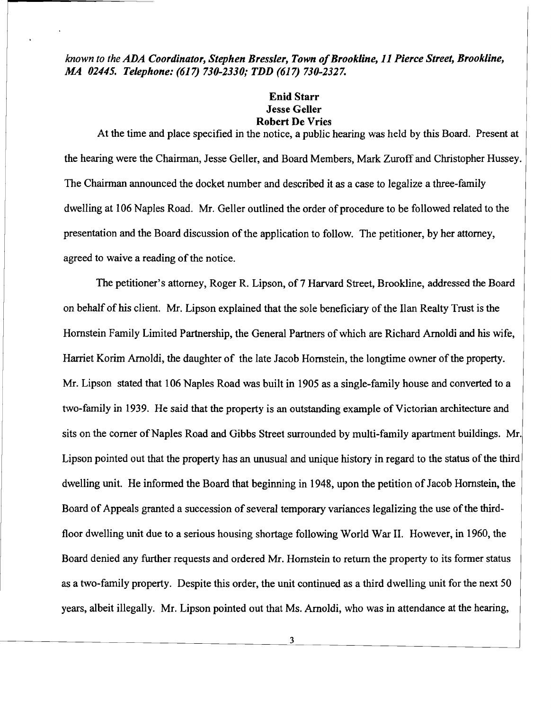known to the *ADA Coordinator, Stephen Bressler, Town of Brookline, 11 Pierce Street, Brookline, MA 02445. Telephone:* (617) *730-2330; TDD* (617) *730-2327.* 

#### Enid Starr Jesse Geller Robert De Vries

At the time and place specified in the notice, a public hearing was held by this Board. Present at the hearing were the Chairman, Jesse Geller, and Board Members, Mark Zuroff and Christopher Hussey. The Chairman announced the docket number and described it as a case to legalize a three-family dwelling at 106 Naples Road. Mr. Geller outlined the order of procedure to be followed related to the presentation and the Board discussion of the application to follow. The petitioner, by her attorney, agreed to waive a reading of the notice.

The petitioner's attorney, Roger R. Lipson, of 7 Harvard Street, Brookline, addressed the Board on behalf of his client. Mr. Lipson explained that the sole beneficiary of the Han Realty Trust is the Hornstein Family Limited Partnership, the General Partners of which are Richard Arnoldi and his wife, Harriet Korim Arnoldi, the daughter of the late Jacob Hornstein, the longtime owner ofthe property. Mr. Lipson stated that 106 Naples Road was built in 1905 as a single-family house and converted to a two-family in 1939. He said that the property is an outstanding example of Victorian architecture and sits on the corner of Naples Road and Gibbs Street surrounded by multi-family apartment buildings. Mr. Lipson pointed out that the property has an unusual and unique history in regard to the status of the third dwelling unit. He informed the Board that beginning in 1948, upon the petition of Jacob Hornstein, the Board of Appeals granted a succession of several temporary variances legalizing the use of the thirdfloor dwelling unit due to a serious housing shortage following World War II. However, in 1960, the Board denied any further requests and ordered Mr. Hornstein to return the property to its fonner status as a two-family property. Despite this order, the unit continued as a third dwelling unit for the next 50 years, albeit illegally. Mr. Lipson pointed out that Ms. Arnoldi, who was in attendance at the hearing,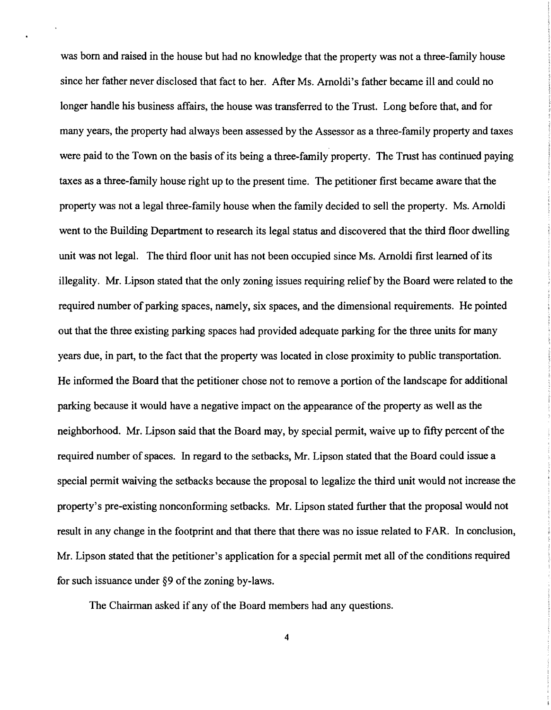was born and raised in the house but had no knowledge that the property was not a three-family house since her father never disclosed that fact to her. After Ms. Arnoldi's father became ill and could no longer handle his business affairs, the house was transferred to the Trust. Long before that, and for many years, the property had always been assessed by the Assessor as a three-family property and taxes were paid to the Town on the basis of its being a three-family property. The Trust has continued paying taxes as a three-family house right up to the present time. The petitioner first became aware that the property was not a legal three-family house when the family decided to sell the property. Ms. Arnoldi went to the Building Department to research its legal status and discovered that the third floor dwelling unit was not legal. The third floor unit has not been occupied since Ms. Arnoldi first learned of its illegality. Mr. Lipson stated that the only zoning issues requiring relief by the Board were related to the required number of parking spaces, namely, six spaces, and the dimensional requirements. He pointed out that the three existing parking spaces had provided adequate parking for the three units for many years due, in part, to the fact that the property was located in close proximity to public transportation. He informed the Board that the petitioner chose not to remove a portion of the landscape for additional parking because it would have a negative impact on the appearance of the property as well as the neighborhood. Mr. Lipson said that the Board may, by special permit, waive up to fifty percent of the required number of spaces. In regard to the setbacks, Mr. Lipson stated that the Board could issue a special permit waiving the setbacks because the proposal to legalize the third unit would not increase the property's pre-existing nonconforming setbacks. Mr. Lipson stated further that the proposal would not result in any change in the footprint and that there that there was no issue related to FAR. In conclusion, Mr. Lipson stated that the petitioner's application for a special permit met all ofthe conditions required for such issuance under  $§9$  of the zoning by-laws.

The Chairman asked if any of the Board members had any questions.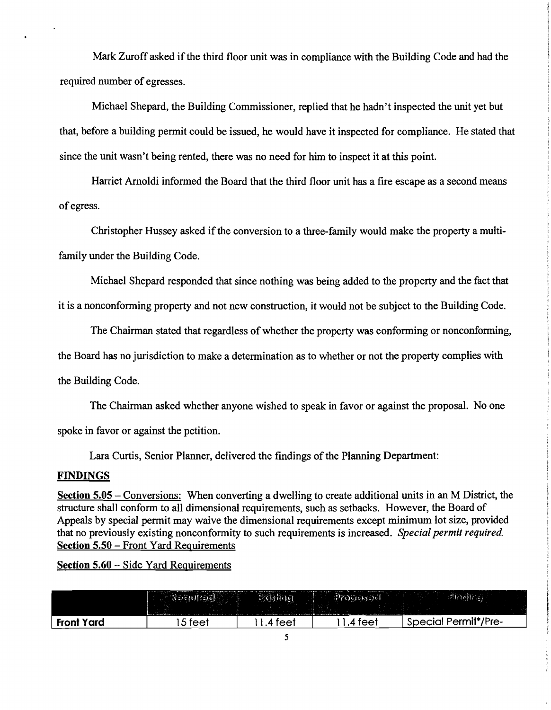Mark Zuroff asked if the third floor unit was in compliance with the Building Code and had the required number of egresses.

Michael Shepard, the Building Commissioner, replied that he hadn't inspected the unit yet but that, before a building permit could be issued, he would have it inspected for compliance. He stated that since the unit wasn't being rented, there was no need for him to inspect it at this point.

Harriet Arnoldi informed the Board that the third floor unit has a fire escape as a second means of egress.

Christopher Hussey asked if the conversion to a three-family would make the property a multifamily under the Building Code.

Michael Shepard responded that since nothing was being added to the property and the fact that

it is a nonconforming property and not new construction, it would not be subject to the Building Code.

The Chairman stated that regardless of whether the property was conforming or nonconforming,

the Board has no jurisdiction to make a determination as to whether or not the property complies with

the Building Code.

The Chairman asked whether anyone wished to speak in favor or against the proposal. No one

spoke in favor or against the petition.

Lara Curtis, Senior Planner, delivered the findings of the Planning Department:

#### FINDINGS

Section 5.05 – Conversions: When converting a dwelling to create additional units in an M District, the structure shall conform to all dimensional requirements, such as setbacks. However, the Board of Appeals by special permit may waive the dimensional requirements except minimum lot size, provided that no previously existing nonconformity to such requirements is increased. *Special permit required.*  Section 5.50 – Front Yard Requirements

Section 5.60 – Side Yard Requirements

| <b>Front Yard</b> | ⊥5 feet | .4 feet | 4 feel | <b>Special Permit*/Pre-</b> |
|-------------------|---------|---------|--------|-----------------------------|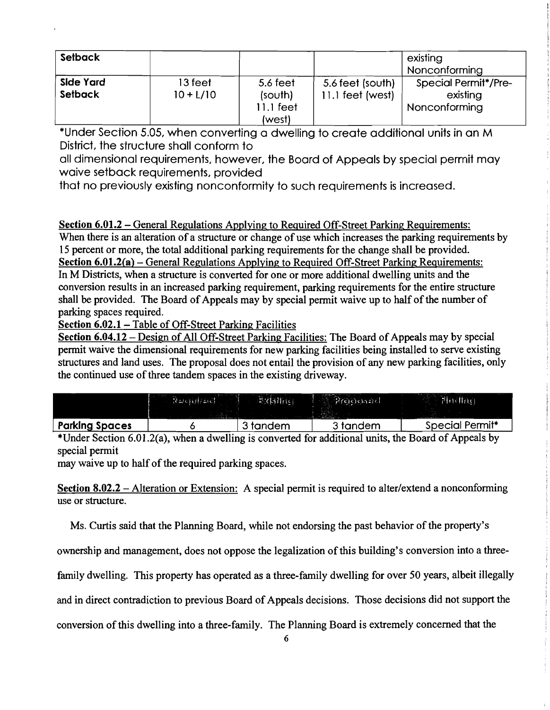| Setback                            |                        |                                              |                                        | existing<br><b>Nonconforming</b>                         |
|------------------------------------|------------------------|----------------------------------------------|----------------------------------------|----------------------------------------------------------|
| <b>Side Yard</b><br><b>Setback</b> | 13 feet<br>$10 + L/10$ | 5.6 feet<br>(south)<br>$11.1$ feet<br>(west) | 5.6 feet (south)<br>$11.1$ feet (west) | <b>Special Permit*/Pre-</b><br>existing<br>Nonconforming |

\*Under Section 5.05, when converting a dwelling to create additional units in an M District, the structure shall conform to

all dimensional requirements, however, the Board of Appeals by special permit may waive setback requirements, provided

that no previously existing nonconformity to such requirements is increased.

### Section 6.01.2 – General Regulations Applying to Required Off-Street Parking Requirements:

When there is an alteration of a structure or change of use which increases the parking requirements by 15 percent or more, the total additional parking requirements for the change shall be provided. Section 6.01.2(a) – General Regulations Applying to Required Off-Street Parking Requirements: In M Districts, when a structure is converted for one or more additional dwelling units and the conversion results in an increased parking requirement, parking requirements for the entire structure shall be provided. The Board of Appeals may by special permit waive up to half of the number of parking spaces required.

Section 6.02.1 - Table of Off-Street Parking Facilities

Section 6.04.12 – Design of All Off-Street Parking Facilities: The Board of Appeals may by special permit waive the dimensional requirements for new parking facilities being installed to serve existing structures and land uses. The proposal does not entail the provision of any new parking facilities, only the continued use of three tandem spaces in the existing driveway.

|                       | and when the control<br><b>Researchers</b> | 高水锅升压    | [H(0)(0,0)(0)] | Flacting,       |
|-----------------------|--------------------------------------------|----------|----------------|-----------------|
| <b>Parking Spaces</b> |                                            | 3 tandem | 3 tandem       | Special Permit* |

\*Under Section 6.01.2(a), when a dwelling is converted for additional units, the Board of Appeals by special permit

may waive up to half of the required parking spaces.

Section 8.02.2 – Alteration or Extension: A special permit is required to alter/extend a nonconforming use or structure.

Ms. Curtis said that the Planning Board, while not endorsing the past behavior of the property's

ownership and management, does not oppose the legalization of this building's conversion into a three-

family dwelling. This property has operated as a three-family dwelling for over 50 years, albeit illegally

and in direct contradiction to previous Board of Appeals decisions. Those decisions did not support the

conversion ofthis dwelling into a three-family. The Planning Board is extremely concerned that the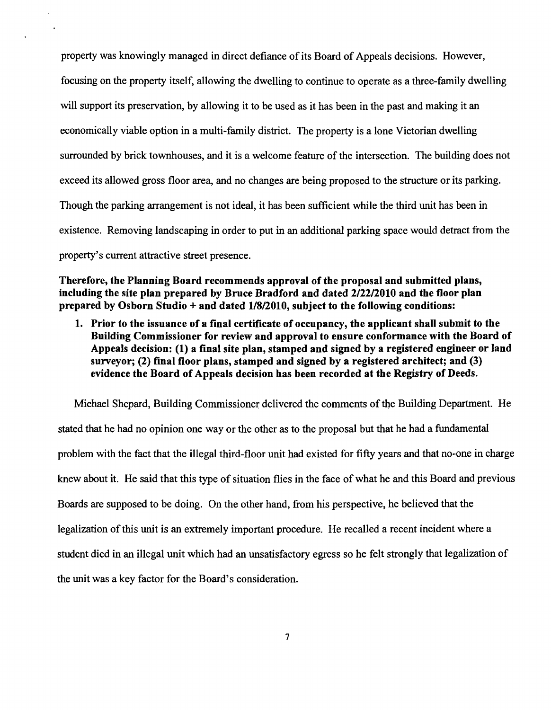property was knowingly managed in direct defiance of its Board of Appeals decisions. However, focusing on the property itself, allowing the dwelling to continue to operate as a three-family dwelling will support its preservation, by allowing it to be used as it has been in the past and making it an economically viable option in a multi-family district. The property is a lone Victorian dwelling surrounded by brick townhouses, and it is a welcome feature of the intersection. The building does not exceed its allowed gross floor area, and no changes are being proposed to the structure or its parking. Though the parking arrangement is not ideal, it has been sufficient while the third unit has been in existence. Removing landscaping in order to put in an additional parking space would detract from the property's current attractive street presence.

**Therefore, the Planning Board recommends approval of the proposal and submitted plans, including the site plan prepared by Bruce Bradford and dated 2/2212010 and the floor plan prepared by Osborn Studio + and dated 11812010, subject to the following conditions:** 

**1. Prior to the issuance of a final certificate of occupancy, the applicant shall submit to the Building Commissioner for review and approval to ensure conformance with the Board of Appeals decision: (1) a final site plan, stamped and signed by a registered engineer or land surveyor; (2) final floor plans, stamped and signed by a registered architect; and (3) evidence the Board of Appeals decision has been recorded at the Registry of Deeds.** 

Michael Shepard, Building Commissioner delivered the comments of the Building Department. He stated that he had no opinion one way or the other as to the proposal but that he had a fundamental problem with the fact that the illegal third-floor unit had existed for fifty years and that no-one in charge knew about it. He said that this type of situation flies in the face of what he and this Board and previous Boards are supposed to be doing. On the other hand, from his perspective, he believed that the legalization of this unit is an extremely important procedure. He recalled a recent incident where a student died in an illegal unit which had an unsatisfactory egress so he felt strongly that legalization of the unit was a key factor for the Board's consideration.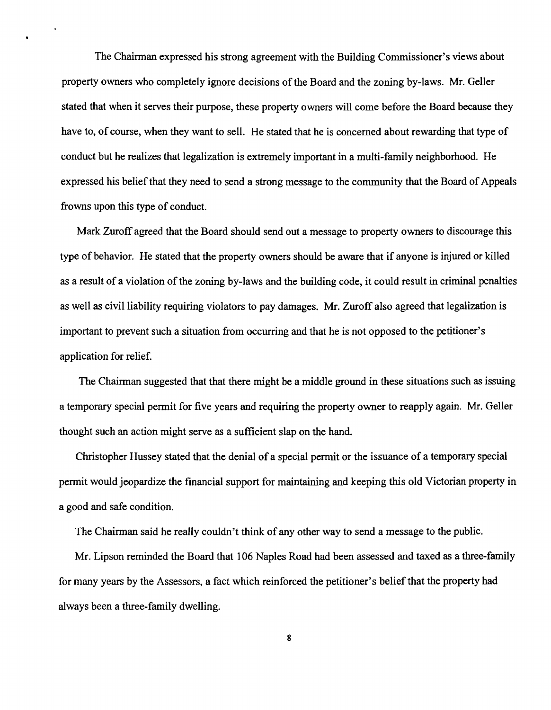The Chairman expressed his strong agreement with the Building Commissioner's views about property owners who completely ignore decisions of the Board and the zoning by-laws. Mr. Geller stated that when it serves their purpose, these property owners will come before the Board because they have to, of course, when they want to sell. He stated that he is concerned about rewarding that type of conduct but he realizes that legalization is extremely important in a multi-family neighborhood. He expressed his belief that they need to send a strong message to the community that the Board of Appeals frowns upon this type of conduct.

 $\bullet$ 

Mark Zuroff agreed that the Board should send out a message to property owners to discourage this type of behavior. He stated that the property owners should be aware that if anyone is injured or killed as a result of a violation of the zoning by-laws and the building code, it could result in criminal penalties as well as civil liability requiring violators to pay damages. Mr. Zuroff also agreed that legalization is important to prevent such a situation from occurring and that he is not opposed to the petitioner's application for relief.

The Chairman suggested that that there might be a middle ground in these situations such as issuing a temporary special pennit for five years and requiring the property owner to reapply again. Mr. Geller thought such an action might serve as a sufficient slap on the hand.

Christopher Hussey stated that the denial of a special permit or the issuance of a temporary special pennit would jeopardize the fmancial support for maintaining and keeping this old Victorian property in a good and safe condition.

The Chairman said he really couldn't think of any other way to send a message to the public.

Mr. Lipson reminded the Board that 106 Naples Road had been assessed and taxed as a three-family for many years by the Assessors, a fact which reinforced the petitioner's belief that the property had always been a three-family dwelling.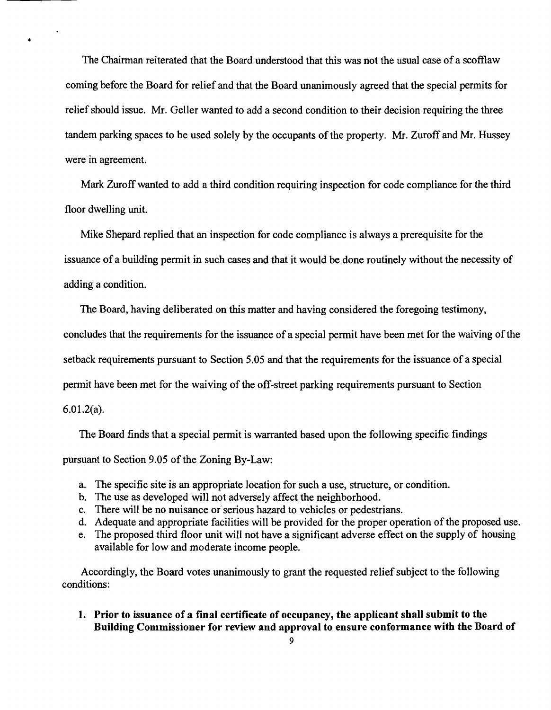The Chairman reiterated that the Board understood that this was not the usual case of a scofflaw coming before the Board for relief and that the Board unanimously agreed that the special permits for relief should issue. Mr. Geller wanted to add a second condition to their decision requiring the three tandem parking spaces to be used solely by the occupants of the property. Mr. Zuroff and Mr. Hussey were in agreement.

Mark Zuroff wanted to add a third condition requiring inspection for code compliance for the third floor dwelling unit.

Mike Shepard replied that an inspection for code compliance is always a prerequisite for the issuance of a building permit in such cases and that it would be done routinely without the necessity of adding a condition.

The Board, having deliberated on this matter and having considered the foregoing testimony,

concludes that the requirements for the issuance of a special permit have been met for the waiving of the

setback requirements pursuant to Section 5.05 and that the requirements for the issuance of a special

permit have been met for the waiving of the off-street parking requirements pursuant to Section

6.01.2(a).

The Board finds that a special permit is warranted based upon the following specific findings

pursuant to Section 9.05 of the Zoning By-Law:

- a. The specific site is an appropriate location for such a use, structure, or condition.
- b. The use as developed will not adversely affect the neighborhood.
- c. There will be no nuisance or'serious hazard to vehicles or pedestrians.
- d. Adequate and appropriate facilities will be provided for the proper operation of the proposed use.
- e. The proposed third floor unit will not have a significant adverse effect on the supply of housing available for low and moderate income people.

Accordingly, the Board votes unanimously to grant the requested relief subject to the following conditions:

**1. Prior to issuance of a final certificate of occupancy, the applicant shall submit to the Building Commissioner for review and approval to ensure conformance with the Board of**